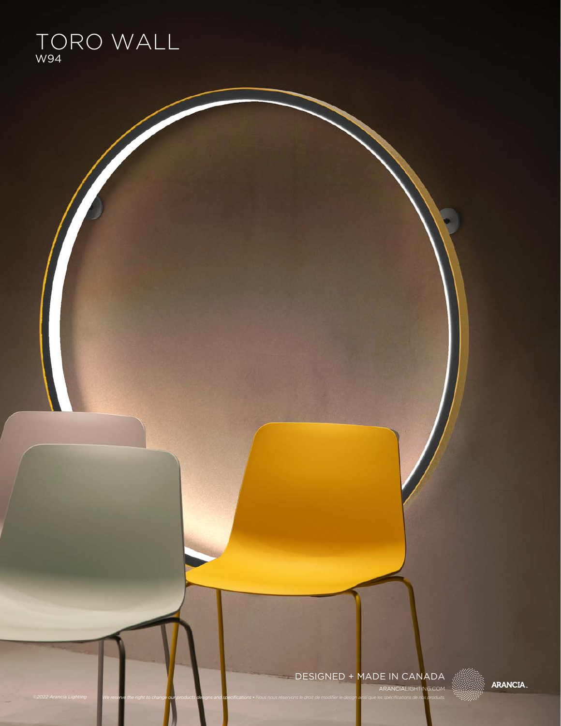

### ARANCIALIGHTING.COM DESIGNED + MADE IN CANADA

We reserve the right to change our products designs and specifications • Nous nous réservons le droit de modifier le design ainsi que les spécifications de nos produits.

**ARANCIA.**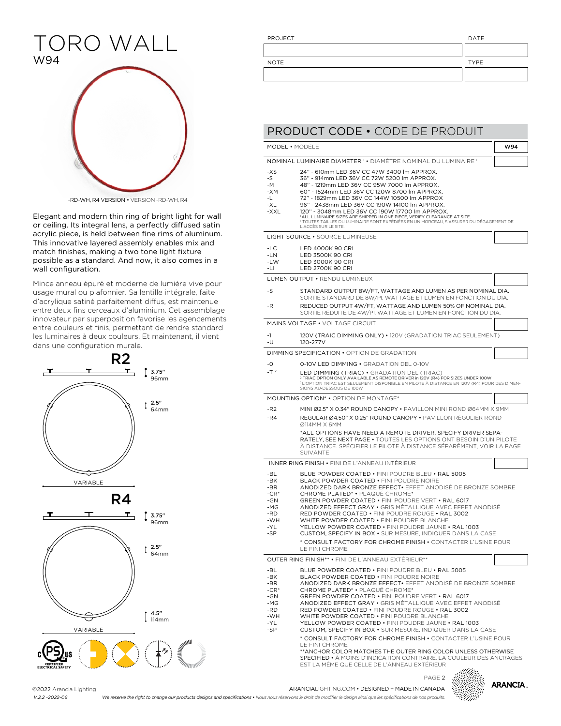### TORO WALL W94



-RD-WH, R4 VERSION • VERSION -RD-WH, R4

Elegant and modern thin ring of bright light for wall or ceiling. Its integral lens, a perfectly diffused satin acrylic piece, is held between fine rims of aluminum. This innovative layered assembly enables mix and match finishes, making a two tone light fixture possible as a standard. And now, it also comes in a wall configuration.

Mince anneau épuré et moderne de lumière vive pour usage mural ou plafonnier. Sa lentille intégrale, faite d'acrylique satiné parfaitement diffus, est maintenue entre deux fins cerceaux d'aluminium. Cet assemblage innovateur par superposition favorise les agencements entre couleurs et finis, permettant de rendre standard les luminaires à deux couleurs. Et maintenant, il vient dans une configuration murale.



| PROJECT     | DATE        |
|-------------|-------------|
|             |             |
| <b>NOTE</b> | <b>TYPE</b> |
|             |             |

|                                                                        | MODEL • MODÉLE                                                                                                                                                                                                                                                                                                                                                                                                                                                                                                                                                                                                                                  | W94 |
|------------------------------------------------------------------------|-------------------------------------------------------------------------------------------------------------------------------------------------------------------------------------------------------------------------------------------------------------------------------------------------------------------------------------------------------------------------------------------------------------------------------------------------------------------------------------------------------------------------------------------------------------------------------------------------------------------------------------------------|-----|
|                                                                        | NOMINAL LUMINAIRE DIAMETER <sup>1</sup> • DIAMÉTRE NOMINAL DU LUMINAIRE <sup>1</sup>                                                                                                                                                                                                                                                                                                                                                                                                                                                                                                                                                            |     |
| -XS<br>-S<br>$-M$<br>-XM<br>-L<br>-XL<br>-XXL                          | 24" - 610mm LED 36V CC 47W 3400 lm APPROX.<br>36" - 914mm LED 36V CC 72W 5200 lm APPROX.<br>48" - 1219mm LED 36V CC 95W 7000 lm APPROX.<br>60" - 1524mm LED 36V CC 120W 8700 lm APPROX.<br>72" - 1829mm LED 36V CC 144W 10500 lm APPROX<br>96" - 2438mm LED 36V CC 190W 14100 lm APPROX.<br>120" - 3048mm LED 36V CC 190W 17700 lm APPROX.<br><sup>1</sup> ALL LUMINAIRE SIZES ARE SHIPPED IN ONE PIECE, VERIFY CLEARANCE AT SITE.<br><sup>1</sup> TOUTES TAILLES DU LUMINAIRE SONT EXPÉDIÉES EN UN MORCEAU, S'ASSURER DU DÉGAGEMENT DE<br>L'ACCÉS SUR LE SITE.                                                                                 |     |
|                                                                        | LIGHT SOURCE . SOURCE LUMINEUSE                                                                                                                                                                                                                                                                                                                                                                                                                                                                                                                                                                                                                 |     |
| -LC<br>$-LN$<br>$-LW$<br>-LI                                           | LED 4000K 90 CRI<br><b>LED 3500K 90 CRI</b><br>LED 3000K 90 CRI<br>LED 2700K 90 CRI                                                                                                                                                                                                                                                                                                                                                                                                                                                                                                                                                             |     |
|                                                                        | LUMEN OUTPUT • RENDU LUMINEUX                                                                                                                                                                                                                                                                                                                                                                                                                                                                                                                                                                                                                   |     |
| -S<br>-R                                                               | STANDARD OUTPUT 8W/FT, WATTAGE AND LUMEN AS PER NOMINAL DIA.<br>SORTIE STANDARD DE 8W/PI, WATTAGE ET LUMEN EN FONCTION DU DIA.<br>REDUCED OUTPUT 4W/FT, WATTAGE AND LUMEN 50% OF NOMINAL DIA.                                                                                                                                                                                                                                                                                                                                                                                                                                                   |     |
|                                                                        | SORTIE RÉDUITE DE 4W/PI, WATTAGE ET LUMEN EN FONCTION DU DIA.                                                                                                                                                                                                                                                                                                                                                                                                                                                                                                                                                                                   |     |
|                                                                        | <b>MAINS VOLTAGE • VOLTAGE CIRCUIT</b>                                                                                                                                                                                                                                                                                                                                                                                                                                                                                                                                                                                                          |     |
| -1<br>-U                                                               | 120V (TRAIC DIMMING ONLY) • 120V (GRADATION TRIAC SEULEMENT)<br>120-277V                                                                                                                                                                                                                                                                                                                                                                                                                                                                                                                                                                        |     |
|                                                                        | DIMMING SPECIFICATION . OPTION DE GRADATION                                                                                                                                                                                                                                                                                                                                                                                                                                                                                                                                                                                                     |     |
| -0<br>$-T2$                                                            | 0-10V LED DIMMING • GRADATION DEL 0-10V<br>LED DIMMING (TRIAC) . GRADATION DEL (TRIAC)<br><sup>2</sup> TRIAC OPTION ONLY AVAILABLE AS REMOTE DRIVER in 120V (R4) FOR SIZES UNDER 100W<br><sup>2</sup> L'OPTION TRIAC EST SEULEMENT DISPONIBLE EN PILOTE À DISTANCE EN 120V (R4) POUR DES DIMEN-<br>SIONS AU-DESSOUS DE 100W                                                                                                                                                                                                                                                                                                                     |     |
|                                                                        | <b>MOUNTING OPTION* • OPTION DE MONTAGE*</b>                                                                                                                                                                                                                                                                                                                                                                                                                                                                                                                                                                                                    |     |
| $-R2$<br>-R4                                                           | MINI Ø2.5" X 0.34" ROUND CANOPY • PAVILLON MINI ROND Ø64MM X 9MM<br>REGULAR Ø4.50" X 0.25" ROUND CANOPY • PAVILLON RÉGULIER ROND<br>Ø114MM X 6MM                                                                                                                                                                                                                                                                                                                                                                                                                                                                                                |     |
|                                                                        | *ALL OPTIONS HAVE NEED A REMOTE DRIVER. SPECIFY DRIVER SEPA-<br>RATELY, SEE NEXT PAGE . TOUTES LES OPTIONS ONT BESOIN D'UN PILOTE<br>À DISTANCE. SPÉCIFIER LE PILOTE À DISTANCE SÉPARÉMENT, VOIR LA PAGE<br>SUIVANTE                                                                                                                                                                                                                                                                                                                                                                                                                            |     |
|                                                                        | INNER RING FINISH • FINI DE L'ANNEAU INTERIEUR                                                                                                                                                                                                                                                                                                                                                                                                                                                                                                                                                                                                  |     |
| -BL<br>-BK<br>-BR<br>$-CR^*$<br>-GN<br>-MG<br>-RD<br>-WH<br>-YI<br>-SP | BLUE POWDER COATED . FINI POUDRE BLEU . RAL 5005<br>BLACK POWDER COATED • FINI POUDRE NOIRE<br>ANODIZED DARK BRONZE EFFECT. EFFET ANODISÉ DE BRONZE SOMBRE<br>CHROME PLATED* • PLAQUÉ CHROME*<br><b>GREEN POWDER COATED • FINI POUDRE VERT • RAL 6017</b><br>ANODIZED EFFECT GRAY • GRIS MÉTALLIQUE AVEC EFFET ANODISÉ<br>RED POWDER COATED • FINI POUDRE ROUGE • RAL 3002<br>WHITE POWDER COATED . FINI POUDRE BLANCHE<br>YELLOW POWDER COATED • FINLPOUDRE, JAUNE • RAL 1003<br>CUSTOM, SPECIFY IN BOX . SUR MESURE, INDIQUER DANS LA CASE                                                                                                    |     |
|                                                                        | * CONSULT FACTORY FOR CHROME FINISH . CONTACTER L'USINE POUR<br>LE FINI CHROME                                                                                                                                                                                                                                                                                                                                                                                                                                                                                                                                                                  |     |
|                                                                        | OUTER RING FINISH** . FINI DE L'ANNEAU EXTÉRIEUR**                                                                                                                                                                                                                                                                                                                                                                                                                                                                                                                                                                                              |     |
| -BL<br>-BK<br>-BR<br>$-CR^*$<br>-GN<br>-MG<br>-RD<br>-WH<br>-YL<br>-SP | BLUE POWDER COATED • FINI POUDRE BLEU • RAL 5005<br>BLACK POWDER COATED . FINI POUDRE NOIRE<br>ANODIZED DARK BRONZE EFFECT. EFFET ANODISE DE BRONZE SOMBRE<br>CHROME PLATED <sup>*</sup> • PLAQUÉ CHROME <sup>*</sup><br>GREEN POWDER COATED . FINI POUDRE VERT . RAL 6017<br>ANODIZED EFFECT GRAY . GRIS MÉTALLIQUE AVEC EFFET ANODISÉ<br>RED POWDER COATED . FINI POUDRE ROUGE . RAL 3002<br>WHITE POWDER COATED . FINI POUDRE BLANCHE<br>YELLOW POWDER COATED • FINI POUDRE JAUNE • RAL 1003<br>CUSTOM, SPECIFY IN BOX . SUR MESURE, INDIQUER DANS LA CASE<br>* CONSULT FACTORY FOR CHROME FINISH . CONTACTER L'USINE POUR<br>LE FINI CHROME |     |

### ARANCIALIGHTING.COM • DESIGNED + MADE IN CANADA PAGE 2

**ARANCIA.** 

©2022 Arancia Lighting *V.2.2 -2022-06*

We reserve the right to change our products designs and specifications • Nous nous réservons le droit de modifier le design ainsi que les spécifications de nos produits.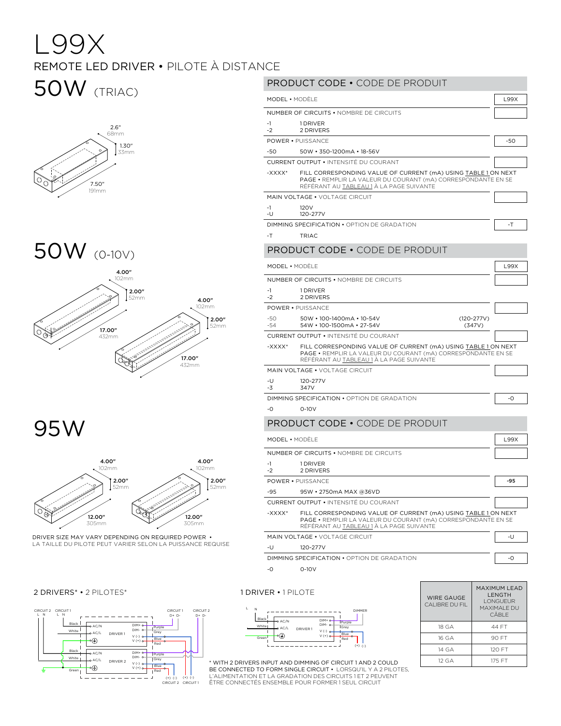# L99X REMOTE LED DRIVER • PILOTE À DISTANCE

# 50W (TRIAC)



#### 50W (0-10V)  $\overline{a}$  $\sim$  $EOMI$



95W



LA TAILLE DU PILOTE PEUT VARIER SELON LA PUISSANCE REQUISE DRIVER SIZE MAY VARY DEPENDING ON REQUIRED POWER •

### 2 DRIVERS\* • 2 PILOTES\* 1 DRIVER • 1 PILOTE



#### L N \_\_\_\_\_\_\_\_\_\_\_\_\_\_\_\_\_\_\_ DIMMER PRODUCT CODE • CODE DE PRODUIT MODEL • MODÈLE LE LA CONTRACTE LA CONTRACTE LA CONTRACTE LA CONTRACTE LA CONTRACTE LA CONTRACTE LA CONTRACTE LA CONTRACTE LA CONTRACTE LA CONTRACTE LA CONTRACTE LA CONTRACTE LA CONTRACTE LA CONTRACTE LA CONTRACTE LA CONTRA NUMBER OF CIRCUITS • NOMBRE DE CIRCUITS -1  $-2$ 1 DRIVER 2 DRIVERS POWER • PUISSANCE -50 -54 50W • 100-1400mA • 10-54V (120-277V) 54W • 100-1500mA • 27-54V (347V) CURRENT OUTPUT • INTENSITÉ DU COURANT -XXXX\* FILL CORRESPONDING VALUE OF CURRENT (mA) USING TABLE 1 ON NEXT PAGE • REMPLIR LA VALEUR DU COURANT (mA) CORRESPONDANTE EN SE RÉFÉRANT AU TABLEAU 1 À LA PAGE SUIVANTE MAIN VOLTAGE • VOLTAGE CIRCUIT -U -3 120-277V 347V DIMMING SPECIFICATION • OPTION DE GRADATION  $\Big|$  -0 -0 0-10V PRODUCT CODE • CODE DE PRODUIT MODEL • MODÈLE LE LA CONTRAT LE CONTRA LA CONTRATA LA CONTRATA LA CONTRATA LA CONTRATA LA CONTRATA LA CONTRATA LA CONTRATA LA CONTRATA LA CONTRATA LA CONTRATA LA CONTRATA LA CONTRATA LA CONTRATA LA CONTRATA LA CONTRATA LA NUMBER OF CIRCUITS • NOMBRE DE CIRCUITS -1 -2 1 DRIVER 2 DRIVERS POWER • PUISSANCE -50 -50 50W • 350-1200mA • 18-56V CURRENT OUTPUT • INTENSITÉ DU COURANT -XXXX\* FILL CORRESPONDING VALUE OF CURRENT (mA) USING TABLE 1 ON NEXT PAGE • REMPLIR LA VALEUR DU COURANT (ma) CORRESPONDANTE EN SE RÉFÉRANT AU TABLEAU 1 À LA PAGE SUIVANTE MAIN VOLTAGE • VOLTAGE CIRCUIT -1 -U 120V 120-277V DIMMING SPECIFICATION • OPTION DE GRADATION  $-$ T -T TRIAC PRODUCT CODE • CODE DE PRODUIT MODEL • MODÈLE LIGALISTIC LIGALIST DE LA CONTRATIVITÉ DE LA CONTRATIVITÉ DE LA CONTRATIVITÉ DE LA CONTRATIVITÉ NUMBER OF CIRCUITS • NOMBRE DE CIRCUITS -1 -2 1 DRIVER 2 DRIVERS POWER • PUISSANCE -95 -95 95W • 2750mA MAX @36VD CURRENT OUTPUT • INTENSITÉ DU COURANT -XXXX\* FILL CORRESPONDING VALUE OF CURRENT (mA) USING TABLE 1 ON NEXT PAGE • REMPLIR LA VALEUR DU COURANT (mA) CORRESPONDANTE EN SE RÉFÉRANT AU TABLEAU 1 À LA PAGE SUIVANTE MAIN VOLTAGE • VOLTAGE CIRCUIT THE STATE OF THE STATE OF THE STATE OF THE STATE OF THE STATE OF THE STATE OF THE STATE OF THE STATE OF THE STATE OF THE STATE OF THE STATE OF THE STATE OF THE STATE OF THE STATE OF THE STATE -U 120-277V DIMMING SPECIFICATION • OPTION DE GRADATION  $\Big|$  -0 -0 0-10V WIRE GAUGE CALIBRE DU FIL LENGTH LONGUEUR



| WIRE GAUGE<br>CALIBRE DU FIL | MAXIMUM I FAD<br><b>I FNGTH</b><br><b>I ONGUEUR</b><br>MAXIMAI E DU<br>CÂBI F |
|------------------------------|-------------------------------------------------------------------------------|
| 18 GA                        | 44 FT                                                                         |
| 16 GA                        | 90 FT                                                                         |
| 14 GA                        | 120 FT                                                                        |
| 12 <sub>GA</sub>             | 175 FT                                                                        |

BE CONNECTED TO FORM SINGLE CIRCUIT • LORSQU'IL Y A 2 PILOTES,<br>L'ALIMENTATION ET LA GRADATION DES CIRCUITS 1 ET 2 PEUVENT ÊTRE CONNECTÉS ENSEMBLE POUR FORMER 1 SEUL CIRCUIT \* WITH 2 DRIVERS INPUT AND DIMMING OF CIRCUIT 1 AND 2 COULD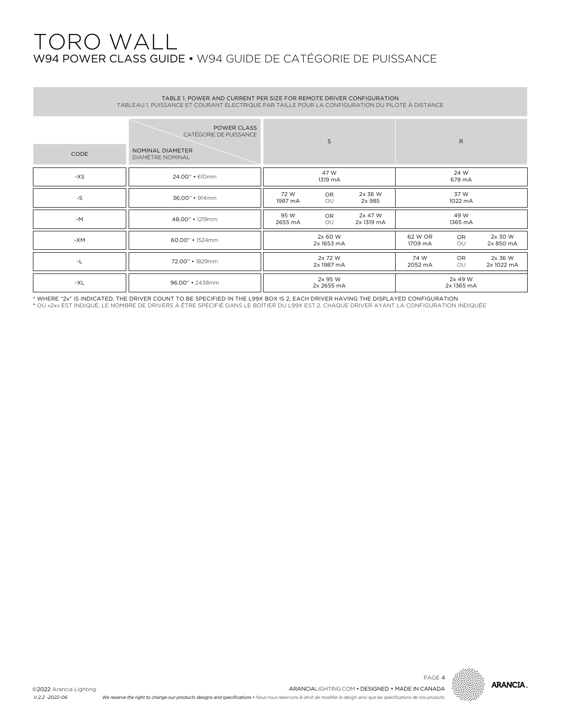# TORO WALL W94 POWER CLASS GUIDE • W94 GUIDE DE CATÉGORIE DE PUISSANCE

| TABLE 1. POWER AND CURRENT PER SIZE FOR REMOTE DRIVER CONFIGURATION<br>TABLEAU 1. PUISSANCE ET COURANT ÉLECTRIQUE PAR TAILLE POUR LA CONFIGURATION DU PILOTE À DISTANCE |                                                                               |                 |                       |                       |                    |                       |                       |  |  |
|-------------------------------------------------------------------------------------------------------------------------------------------------------------------------|-------------------------------------------------------------------------------|-----------------|-----------------------|-----------------------|--------------------|-----------------------|-----------------------|--|--|
| <b>CODE</b>                                                                                                                                                             | POWER CLASS<br>CATÉGORIE DE PUISSANCE<br>NOMINAL DIAMETER<br>DIAMÈTRE NOMINAL |                 | S                     |                       |                    | $\mathsf{R}$          |                       |  |  |
| $-XS$                                                                                                                                                                   | 24.00" • 610mm                                                                |                 | 47 W<br>1319 mA       |                       |                    | 24 W<br>678 mA        |                       |  |  |
| $-S$                                                                                                                                                                    | 36.00" • 914mm                                                                | 72 W<br>1987 mA | <b>OR</b><br>OU       | 2x 36 W<br>2x 985     |                    | 37 W<br>1022 mA       |                       |  |  |
| $-M$                                                                                                                                                                    | 48.00" · 1219mm                                                               | 95 W<br>2655 mA | <b>OR</b><br>OU       | 2x 47 W<br>2x 1319 mA |                    | 49 W<br>1365 mA       |                       |  |  |
| -XM                                                                                                                                                                     | $60.00" \cdot 1524$ mm                                                        |                 | 2x 60 W<br>2x 1653 mA |                       | 62 W OR<br>1709 mA | OR<br>OU              | 2x 30 W<br>2x 850 mA  |  |  |
| -L                                                                                                                                                                      | 72.00" • 1829mm                                                               |                 | 2x 72 W<br>2x 1987 mA |                       | 74 W<br>2052 mA    | <b>OR</b><br>OU       | 2x 36 W<br>2x 1022 mA |  |  |
| -XL                                                                                                                                                                     | 96.00" · 2438mm                                                               |                 | 2x 95 W<br>2x 2655 mA |                       |                    | 2x 49 W<br>2x 1365 mA |                       |  |  |

\* WHERE "2x" IS INDICATED, THE DRIVER COUNT TO BE SPECIFIED IN THE L99X BOX IS 2, EACH DRIVER HAVING THE DISPLAYED CONFIGURATION<br>\* OÙ «2x» EST INDIQUÉ, LE NOMBRE DE DRIVERS À ÊTRE SPÉCIFIÉ DANS LE BOÎTIER DU L99X EST 2, CH

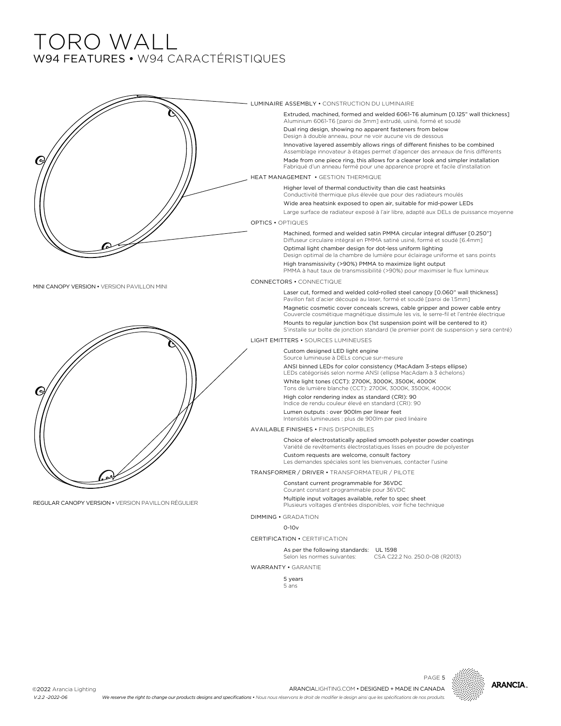## TORO WALL W94 FEATURES • W94 CARACTÉRISTIQUES



WARRANTY • GARANTIE

5 years 5 ans